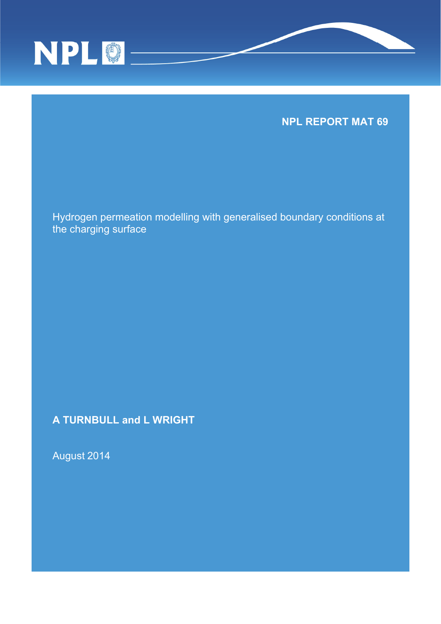

**NPL REPORT MAT 69** 

Hydrogen permeation modelling with generalised boundary conditions at the charging surface

**A TURNBULL and L WRIGHT** 

August 2014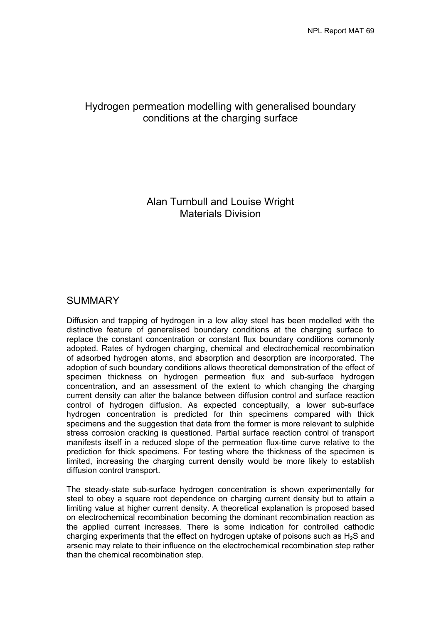# Hydrogen permeation modelling with generalised boundary conditions at the charging surface

# Alan Turnbull and Louise Wright Materials Division

# SUMMARY

Diffusion and trapping of hydrogen in a low alloy steel has been modelled with the distinctive feature of generalised boundary conditions at the charging surface to replace the constant concentration or constant flux boundary conditions commonly adopted. Rates of hydrogen charging, chemical and electrochemical recombination of adsorbed hydrogen atoms, and absorption and desorption are incorporated. The adoption of such boundary conditions allows theoretical demonstration of the effect of specimen thickness on hydrogen permeation flux and sub-surface hydrogen concentration, and an assessment of the extent to which changing the charging current density can alter the balance between diffusion control and surface reaction control of hydrogen diffusion. As expected conceptually, a lower sub-surface hydrogen concentration is predicted for thin specimens compared with thick specimens and the suggestion that data from the former is more relevant to sulphide stress corrosion cracking is questioned. Partial surface reaction control of transport manifests itself in a reduced slope of the permeation flux-time curve relative to the prediction for thick specimens. For testing where the thickness of the specimen is limited, increasing the charging current density would be more likely to establish diffusion control transport.

The steady-state sub-surface hydrogen concentration is shown experimentally for steel to obey a square root dependence on charging current density but to attain a limiting value at higher current density. A theoretical explanation is proposed based on electrochemical recombination becoming the dominant recombination reaction as the applied current increases. There is some indication for controlled cathodic charging experiments that the effect on hydrogen uptake of poisons such as  $H_2S$  and arsenic may relate to their influence on the electrochemical recombination step rather than the chemical recombination step.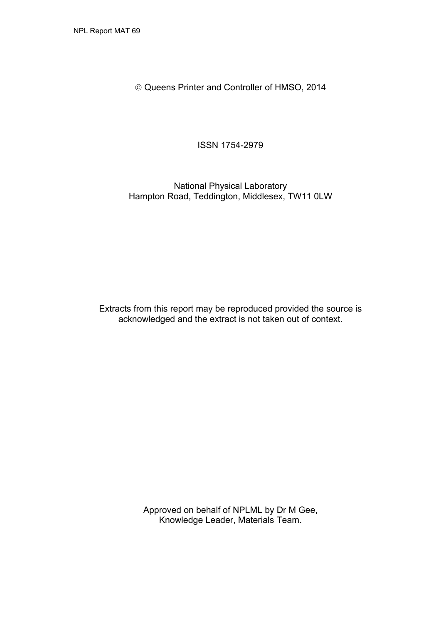Queens Printer and Controller of HMSO, 2014

ISSN 1754-2979

National Physical Laboratory Hampton Road, Teddington, Middlesex, TW11 0LW

Extracts from this report may be reproduced provided the source is acknowledged and the extract is not taken out of context.

> Approved on behalf of NPLML by Dr M Gee, Knowledge Leader, Materials Team.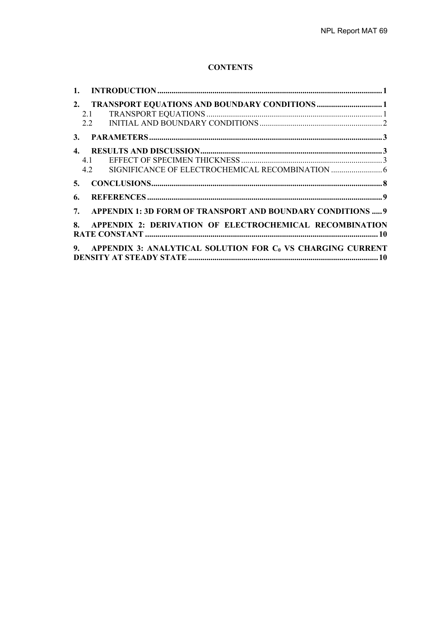## **CONTENTS**

|    | 2. TRANSPORT EQUATIONS AND BOUNDARY CONDITIONS 1                 |  |
|----|------------------------------------------------------------------|--|
|    |                                                                  |  |
|    |                                                                  |  |
|    |                                                                  |  |
|    |                                                                  |  |
|    | 4.1                                                              |  |
|    |                                                                  |  |
|    |                                                                  |  |
| 6. |                                                                  |  |
|    | 7. APPENDIX 1: 3D FORM OF TRANSPORT AND BOUNDARY CONDITIONS  9   |  |
|    | 8. APPENDIX 2: DERIVATION OF ELECTROCHEMICAL RECOMBINATION       |  |
|    | 9. APPENDIX 3: ANALYTICAL SOLUTION FOR $C_0$ VS CHARGING CURRENT |  |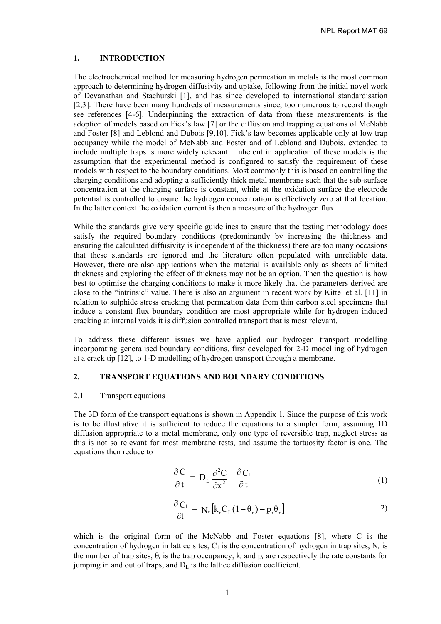NPL Report MAT 69

## **1. INTRODUCTION**

The electrochemical method for measuring hydrogen permeation in metals is the most common approach to determining hydrogen diffusivity and uptake, following from the initial novel work of Devanathan and Stachurski [1], and has since developed to international standardisation [2,3]. There have been many hundreds of measurements since, too numerous to record though see references [4-6]. Underpinning the extraction of data from these measurements is the adoption of models based on Fick's law [7] or the diffusion and trapping equations of McNabb and Foster [8] and Leblond and Dubois [9,10]. Fick's law becomes applicable only at low trap occupancy while the model of McNabb and Foster and of Leblond and Dubois, extended to include multiple traps is more widely relevant. Inherent in application of these models is the assumption that the experimental method is configured to satisfy the requirement of these models with respect to the boundary conditions. Most commonly this is based on controlling the charging conditions and adopting a sufficiently thick metal membrane such that the sub-surface concentration at the charging surface is constant, while at the oxidation surface the electrode potential is controlled to ensure the hydrogen concentration is effectively zero at that location. In the latter context the oxidation current is then a measure of the hydrogen flux.

While the standards give very specific guidelines to ensure that the testing methodology does satisfy the required boundary conditions (predominantly by increasing the thickness and ensuring the calculated diffusivity is independent of the thickness) there are too many occasions that these standards are ignored and the literature often populated with unreliable data. However, there are also applications when the material is available only as sheets of limited thickness and exploring the effect of thickness may not be an option. Then the question is how best to optimise the charging conditions to make it more likely that the parameters derived are close to the "intrinsic" value. There is also an argument in recent work by Kittel et al. [11] in relation to sulphide stress cracking that permeation data from thin carbon steel specimens that induce a constant flux boundary condition are most appropriate while for hydrogen induced cracking at internal voids it is diffusion controlled transport that is most relevant.

To address these different issues we have applied our hydrogen transport modelling incorporating generalised boundary conditions, first developed for 2-D modelling of hydrogen at a crack tip [12], to 1-D modelling of hydrogen transport through a membrane.

# **2. TRANSPORT EQUATIONS AND BOUNDARY CONDITIONS**

#### 2.1 Transport equations

The 3D form of the transport equations is shown in Appendix 1. Since the purpose of this work is to be illustrative it is sufficient to reduce the equations to a simpler form, assuming 1D diffusion appropriate to a metal membrane, only one type of reversible trap, neglect stress as this is not so relevant for most membrane tests, and assume the tortuosity factor is one. The equations then reduce to

$$
\frac{\partial C}{\partial t} = D_{L} \frac{\partial^{2} C}{\partial x^{2}} - \frac{\partial C_{1}}{\partial t}
$$
 (1)

$$
\frac{\partial C_1}{\partial t} = N_r \left[ k_r C_L (1 - \theta_r) - p_r \theta_r \right]
$$
 (2)

which is the original form of the McNabb and Foster equations [8], where C is the concentration of hydrogen in lattice sites,  $C_1$  is the concentration of hydrogen in trap sites,  $N_r$  is the number of trap sites,  $\theta_r$  is the trap occupancy,  $k_r$  and  $p_r$  are respectively the rate constants for jumping in and out of traps, and  $D<sub>L</sub>$  is the lattice diffusion coefficient.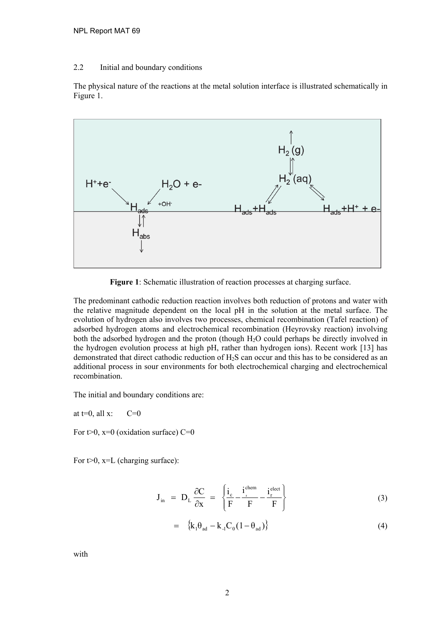## 2.2 Initial and boundary conditions

The physical nature of the reactions at the metal solution interface is illustrated schematically in Figure 1.



**Figure 1**: Schematic illustration of reaction processes at charging surface.

The predominant cathodic reduction reaction involves both reduction of protons and water with the relative magnitude dependent on the local pH in the solution at the metal surface. The evolution of hydrogen also involves two processes, chemical recombination (Tafel reaction) of adsorbed hydrogen atoms and electrochemical recombination (Heyrovsky reaction) involving both the adsorbed hydrogen and the proton (though H2O could perhaps be directly involved in the hydrogen evolution process at high pH, rather than hydrogen ions). Recent work [13] has demonstrated that direct cathodic reduction of H2S can occur and this has to be considered as an additional process in sour environments for both electrochemical charging and electrochemical recombination.

The initial and boundary conditions are:

at  $t=0$ , all x:  $C=0$ 

For  $t>0$ ,  $x=0$  (oxidation surface) C=0

For  $t>0$ ,  $x=L$  (charging surface):

$$
\mathbf{J}_{\text{in}} = \mathbf{D}_{\text{L}} \frac{\partial \mathbf{C}}{\partial \mathbf{x}} = \left\{ \frac{i_{\text{c}}}{\text{F}} - \frac{i_{\text{r}}^{\text{chem}}}{\text{F}} - \frac{i_{\text{r}}^{\text{elect}}}{\text{F}} \right\}
$$
(3)

$$
= \{k_1 \theta_{ad} - k_1 C_0 (1 - \theta_{ad})\} \tag{4}
$$

with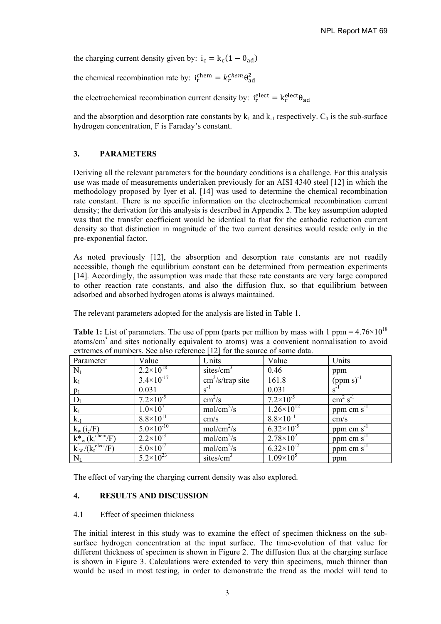the charging current density given by:  $i_c = k_c(1 - \theta_{ad})$ 

the chemical recombination rate by:  $i_r^{chem} = k_r^{chem} \theta_{ad}^2$ 

the electrochemical recombination current density by:  $i_r^{elect} = k_r^{elect} \theta_{ad}$ 

and the absorption and desorption rate constants by  $k_1$  and  $k_1$  respectively.  $C_0$  is the sub-surface hydrogen concentration, F is Faraday's constant.

## **3. PARAMETERS**

Deriving all the relevant parameters for the boundary conditions is a challenge. For this analysis use was made of measurements undertaken previously for an AISI 4340 steel [12] in which the methodology proposed by Iyer et al. [14] was used to determine the chemical recombination rate constant. There is no specific information on the electrochemical recombination current density; the derivation for this analysis is described in Appendix 2. The key assumption adopted was that the transfer coefficient would be identical to that for the cathodic reduction current density so that distinction in magnitude of the two current densities would reside only in the pre-exponential factor.

As noted previously [12], the absorption and desorption rate constants are not readily accessible, though the equilibrium constant can be determined from permeation experiments [14]. Accordingly, the assumption was made that these rate constants are very large compared to other reaction rate constants, and also the diffusion flux, so that equilibrium between adsorbed and absorbed hydrogen atoms is always maintained.

The relevant parameters adopted for the analysis are listed in Table 1.

**Table 1:** List of parameters. The use of ppm (parts per million by mass with 1 ppm =  $4.76 \times 10^{18}$ ) atoms/cm3 and sites notionally equivalent to atoms) was a convenient normalisation to avoid extremes of numbers. See also reference [12] for the source of some data.

| Parameter                          | Value                         | Units                                   | Value                 | Units                        |
|------------------------------------|-------------------------------|-----------------------------------------|-----------------------|------------------------------|
| $N_1$                              | $2.2 \times 10^{18}$          | sites/ $cm3$                            | 0.46                  | ppm                          |
| $k_1$                              | $3.4 \times 10^{-17}$         | $\text{cm}^3/\text{s}/\text{trap}$ site | 161.8                 | $(ppm s)^{-1}$               |
| $p_1$                              | 0.031                         | $s^{-1}$                                | 0.031                 | $S^{-1}$                     |
| $D_{L}$                            | $7.2 \times 10^{-5}$          | $\text{cm}^2/\text{s}$                  | $7.2\times10^{-5}$    | $\text{cm}^2 \text{ s}^{-1}$ |
| $k_1$                              | $1.0\times10^{7}$             | $mol/cm^2/s$                            | $1.26 \times 10^{12}$ | ppm cm $s^{-1}$              |
| $k_{-1}$                           | $8.8\times10^{11}$            | cm/s                                    | $8.8\times10^{11}$    | $\rm cm/s$                   |
| $k_w(i_c/F)$                       | $5.0\times10^{-10}$           | $mol/cm^2/s$                            | $6.32\times10^{-5}$   | ppm cm $s^{-1}$              |
| $k_{w}^{*}(k_{r}^{\text{chem}}/F)$ | $2.2 \times 10^{-3}$          | $mol/cm^2/s$                            | $2.78 \times 10^2$    | ppm cm $s^{-1}$              |
| $k_w/(k_r^{\text{elect}}/F)$       | $5.0 \times 10^{-7}$          | $mol/cm^2/s$                            | $6.32\times10^{-2}$   | $ppm$ cm s <sup>-1</sup>     |
| $N_{L}$                            | $5.2\times\overline{10^{23}}$ | sites/cm <sup>3</sup>                   | $1.09\times10^{5}$    | ppm                          |

The effect of varying the charging current density was also explored.

## **4. RESULTS AND DISCUSSION**

## 4.1 Effect of specimen thickness

The initial interest in this study was to examine the effect of specimen thickness on the subsurface hydrogen concentration at the input surface. The time-evolution of that value for different thickness of specimen is shown in Figure 2. The diffusion flux at the charging surface is shown in Figure 3. Calculations were extended to very thin specimens, much thinner than would be used in most testing, in order to demonstrate the trend as the model will tend to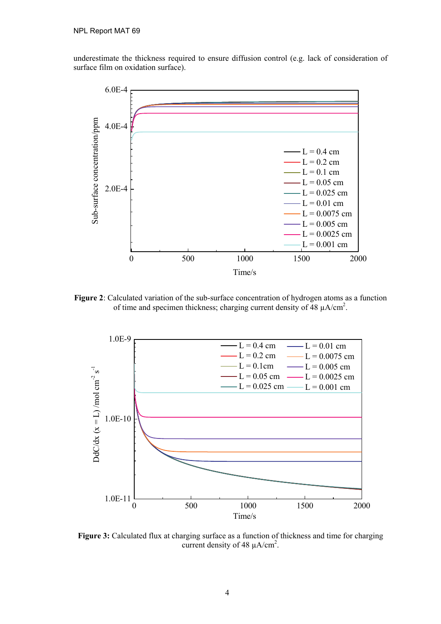underestimate the thickness required to ensure diffusion control (e.g. lack of consideration of surface film on oxidation surface).



**Figure 2**: Calculated variation of the sub-surface concentration of hydrogen atoms as a function of time and specimen thickness; charging current density of  $\overline{48}$   $\mu$ A/cm<sup>2</sup>.



**Figure 3:** Calculated flux at charging surface as a function of thickness and time for charging current density of 48  $\mu$ A/cm<sup>2</sup>.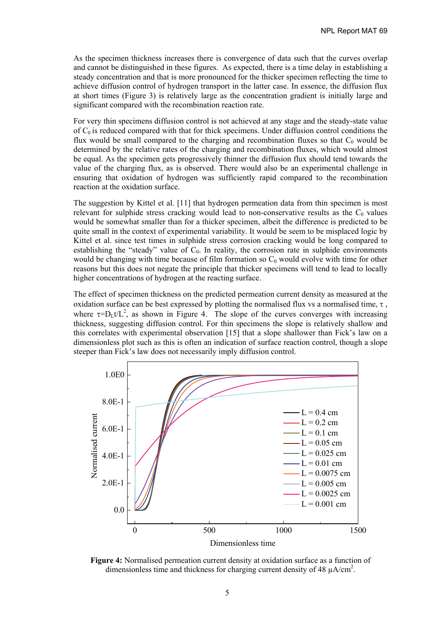As the specimen thickness increases there is convergence of data such that the curves overlap and cannot be distinguished in these figures. As expected, there is a time delay in establishing a steady concentration and that is more pronounced for the thicker specimen reflecting the time to achieve diffusion control of hydrogen transport in the latter case. In essence, the diffusion flux at short times (Figure 3) is relatively large as the concentration gradient is initially large and significant compared with the recombination reaction rate.

For very thin specimens diffusion control is not achieved at any stage and the steady-state value of  $C_0$  is reduced compared with that for thick specimens. Under diffusion control conditions the flux would be small compared to the charging and recombination fluxes so that  $C_0$  would be determined by the relative rates of the charging and recombination fluxes, which would almost be equal. As the specimen gets progressively thinner the diffusion flux should tend towards the value of the charging flux, as is observed. There would also be an experimental challenge in ensuring that oxidation of hydrogen was sufficiently rapid compared to the recombination reaction at the oxidation surface.

The suggestion by Kittel et al. [11] that hydrogen permeation data from thin specimen is most relevant for sulphide stress cracking would lead to non-conservative results as the  $C_0$  values would be somewhat smaller than for a thicker specimen, albeit the difference is predicted to be quite small in the context of experimental variability. It would be seem to be misplaced logic by Kittel et al. since test times in sulphide stress corrosion cracking would be long compared to establishing the "steady" value of  $C_0$ . In reality, the corrosion rate in sulphide environments would be changing with time because of film formation so  $C_0$  would evolve with time for other reasons but this does not negate the principle that thicker specimens will tend to lead to locally higher concentrations of hydrogen at the reacting surface.

The effect of specimen thickness on the predicted permeation current density as measured at the oxidation surface can be best expressed by plotting the normalised flux vs a normalised time,  $\tau$ , where  $\tau = D_L t/L^2$ , as shown in Figure 4. The slope of the curves converges with increasing thickness, suggesting diffusion control. For thin specimens the slope is relatively shallow and this correlates with experimental observation [15] that a slope shallower than Fick's law on a dimensionless plot such as this is often an indication of surface reaction control, though a slope steeper than Fick's law does not necessarily imply diffusion control.



**Figure 4:** Normalised permeation current density at oxidation surface as a function of dimensionless time and thickness for charging current density of 48  $\mu$ A/cm<sup>2</sup>.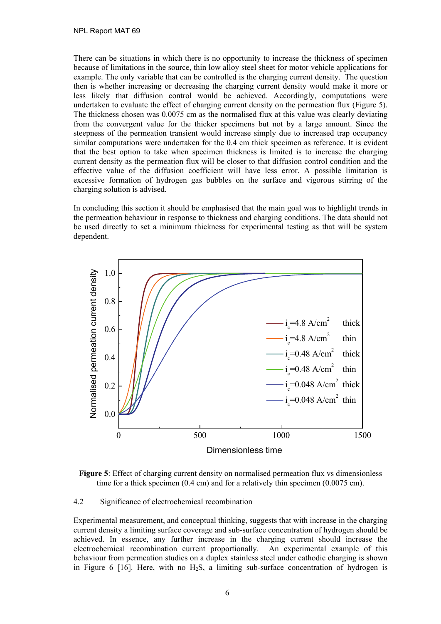There can be situations in which there is no opportunity to increase the thickness of specimen because of limitations in the source, thin low alloy steel sheet for motor vehicle applications for example. The only variable that can be controlled is the charging current density. The question then is whether increasing or decreasing the charging current density would make it more or less likely that diffusion control would be achieved. Accordingly, computations were undertaken to evaluate the effect of charging current density on the permeation flux (Figure 5). The thickness chosen was 0.0075 cm as the normalised flux at this value was clearly deviating from the convergent value for the thicker specimens but not by a large amount. Since the steepness of the permeation transient would increase simply due to increased trap occupancy similar computations were undertaken for the 0.4 cm thick specimen as reference. It is evident that the best option to take when specimen thickness is limited is to increase the charging current density as the permeation flux will be closer to that diffusion control condition and the effective value of the diffusion coefficient will have less error. A possible limitation is excessive formation of hydrogen gas bubbles on the surface and vigorous stirring of the charging solution is advised.

In concluding this section it should be emphasised that the main goal was to highlight trends in the permeation behaviour in response to thickness and charging conditions. The data should not be used directly to set a minimum thickness for experimental testing as that will be system dependent.



Figure 5: Effect of charging current density on normalised permeation flux vs dimensionless time for a thick specimen (0.4 cm) and for a relatively thin specimen (0.0075 cm).

## 4.2 Significance of electrochemical recombination

Experimental measurement, and conceptual thinking, suggests that with increase in the charging current density a limiting surface coverage and sub-surface concentration of hydrogen should be achieved. In essence, any further increase in the charging current should increase the electrochemical recombination current proportionally. An experimental example of this behaviour from permeation studies on a duplex stainless steel under cathodic charging is shown in Figure 6  $[16]$ . Here, with no  $H_2S$ , a limiting sub-surface concentration of hydrogen is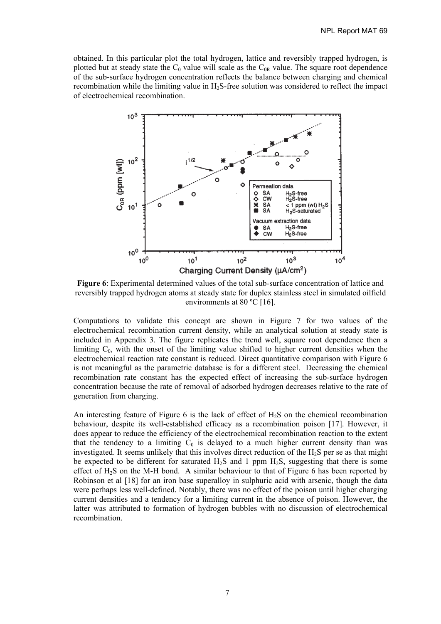obtained. In this particular plot the total hydrogen, lattice and reversibly trapped hydrogen, is plotted but at steady state the  $C_0$  value will scale as the  $C_{0R}$  value. The square root dependence of the sub-surface hydrogen concentration reflects the balance between charging and chemical recombination while the limiting value in H<sub>2</sub>S-free solution was considered to reflect the impact of electrochemical recombination.



**Figure 6**: Experimental determined values of the total sub-surface concentration of lattice and reversibly trapped hydrogen atoms at steady state for duplex stainless steel in simulated oilfield environments at 80 °C [16].

Computations to validate this concept are shown in Figure 7 for two values of the electrochemical recombination current density, while an analytical solution at steady state is included in Appendix 3. The figure replicates the trend well, square root dependence then a limiting  $C_0$ , with the onset of the limiting value shifted to higher current densities when the electrochemical reaction rate constant is reduced. Direct quantitative comparison with Figure 6 is not meaningful as the parametric database is for a different steel. Decreasing the chemical recombination rate constant has the expected effect of increasing the sub-surface hydrogen concentration because the rate of removal of adsorbed hydrogen decreases relative to the rate of generation from charging.

An interesting feature of Figure 6 is the lack of effect of  $H_2S$  on the chemical recombination behaviour, despite its well-established efficacy as a recombination poison [17]. However, it does appear to reduce the efficiency of the electrochemical recombination reaction to the extent that the tendency to a limiting  $C_0$  is delayed to a much higher current density than was investigated. It seems unlikely that this involves direct reduction of the  $H_2S$  per se as that might be expected to be different for saturated  $H_2S$  and 1 ppm  $H_2S$ , suggesting that there is some effect of H2S on the M-H bond. A similar behaviour to that of Figure 6 has been reported by Robinson et al [18] for an iron base superalloy in sulphuric acid with arsenic, though the data were perhaps less well-defined. Notably, there was no effect of the poison until higher charging current densities and a tendency for a limiting current in the absence of poison. However, the latter was attributed to formation of hydrogen bubbles with no discussion of electrochemical recombination.

7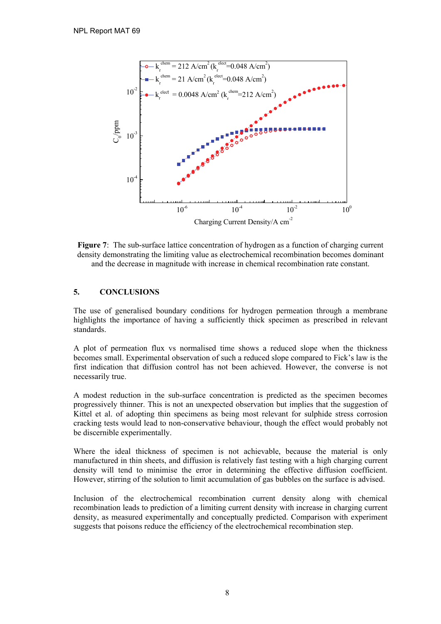

**Figure 7**: The sub-surface lattice concentration of hydrogen as a function of charging current density demonstrating the limiting value as electrochemical recombination becomes dominant and the decrease in magnitude with increase in chemical recombination rate constant.

## **5. CONCLUSIONS**

The use of generalised boundary conditions for hydrogen permeation through a membrane highlights the importance of having a sufficiently thick specimen as prescribed in relevant standards.

A plot of permeation flux vs normalised time shows a reduced slope when the thickness becomes small. Experimental observation of such a reduced slope compared to Fick's law is the first indication that diffusion control has not been achieved. However, the converse is not necessarily true.

A modest reduction in the sub-surface concentration is predicted as the specimen becomes progressively thinner. This is not an unexpected observation but implies that the suggestion of Kittel et al. of adopting thin specimens as being most relevant for sulphide stress corrosion cracking tests would lead to non-conservative behaviour, though the effect would probably not be discernible experimentally.

Where the ideal thickness of specimen is not achievable, because the material is only manufactured in thin sheets, and diffusion is relatively fast testing with a high charging current density will tend to minimise the error in determining the effective diffusion coefficient. However, stirring of the solution to limit accumulation of gas bubbles on the surface is advised.

Inclusion of the electrochemical recombination current density along with chemical recombination leads to prediction of a limiting current density with increase in charging current density, as measured experimentally and conceptually predicted. Comparison with experiment suggests that poisons reduce the efficiency of the electrochemical recombination step.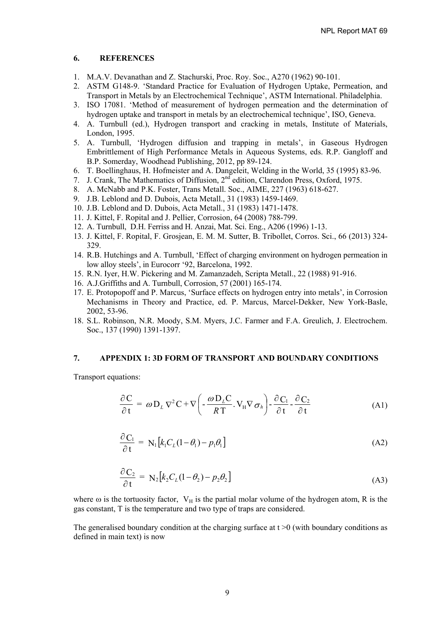#### **6. REFERENCES**

- 1. M.A.V. Devanathan and Z. Stachurski, Proc. Roy. Soc., A270 (1962) 90-101.
- 2. ASTM G148-9. 'Standard Practice for Evaluation of Hydrogen Uptake, Permeation, and Transport in Metals by an Electrochemical Technique', ASTM International. Philadelphia.
- 3. ISO 17081. 'Method of measurement of hydrogen permeation and the determination of hydrogen uptake and transport in metals by an electrochemical technique', ISO, Geneva.
- 4. A. Turnbull (ed.), Hydrogen transport and cracking in metals, Institute of Materials, London, 1995.
- 5. A. Turnbull, 'Hydrogen diffusion and trapping in metals', in Gaseous Hydrogen Embrittlement of High Performance Metals in Aqueous Systems, eds. R.P. Gangloff and B.P. Somerday, Woodhead Publishing, 2012, pp 89-124.
- 6. T. Boellinghaus, H. Hofmeister and A. Dangeleit, Welding in the World, 35 (1995) 83-96.
- 7. J. Crank, The Mathematics of Diffusion, 2nd edition, Clarendon Press, Oxford, 1975.
- 8. A. McNabb and P.K. Foster, Trans Metall. Soc., AIME, 227 (1963) 618-627.
- 9. J.B. Leblond and D. Dubois, Acta Metall., 31 (1983) 1459-1469.
- 10. J.B. Leblond and D. Dubois, Acta Metall., 31 (1983) 1471-1478.
- 11. J. Kittel, F. Ropital and J. Pellier, Corrosion, 64 (2008) 788-799.
- 12. A. Turnbull, D.H. Ferriss and H. Anzai, Mat. Sci. Eng., A206 (1996) 1-13.
- 13. J. Kittel, F. Ropital, F. Grosjean, E. M. M. Sutter, B. Tribollet, Corros. Sci., 66 (2013) 324- 329.
- 14. R.B. Hutchings and A. Turnbull, 'Effect of charging environment on hydrogen permeation in low alloy steels', in Eurocorr '92, Barcelona, 1992.
- 15. R.N. Iyer, H.W. Pickering and M. Zamanzadeh, Scripta Metall., 22 (1988) 91-916.
- 16. A.J.Griffiths and A. Turnbull, Corrosion, 57 (2001) 165-174.
- 17. E. Protopopoff and P. Marcus, 'Surface effects on hydrogen entry into metals', in Corrosion Mechanisms in Theory and Practice, ed. P. Marcus, Marcel-Dekker, New York-Basle, 2002, 53-96.
- 18. S.L. Robinson, N.R. Moody, S.M. Myers, J.C. Farmer and F.A. Greulich, J. Electrochem. Soc., 137 (1990) 1391-1397.

#### **7. APPENDIX 1: 3D FORM OF TRANSPORT AND BOUNDARY CONDITIONS**

Transport equations:

$$
\frac{\partial C}{\partial t} = \omega D_L \nabla^2 C + \nabla \left( -\frac{\omega D_L C}{RT} \cdot V_H \nabla \sigma_h \right) - \frac{\partial C_1}{\partial t} - \frac{\partial C_2}{\partial t}
$$
(A1)

$$
\frac{\partial C_1}{\partial t} = N_1 [k_1 C_L (1 - \theta_1) - p_1 \theta_1]
$$
\n(A2)

$$
\frac{\partial C_2}{\partial t} = N_2 [k_2 C_L (1 - \theta_2) - p_2 \theta_2]
$$
\n(A3)

where  $\omega$  is the tortuosity factor,  $V_H$  is the partial molar volume of the hydrogen atom, R is the gas constant, T is the temperature and two type of traps are considered.

The generalised boundary condition at the charging surface at  $t > 0$  (with boundary conditions as defined in main text) is now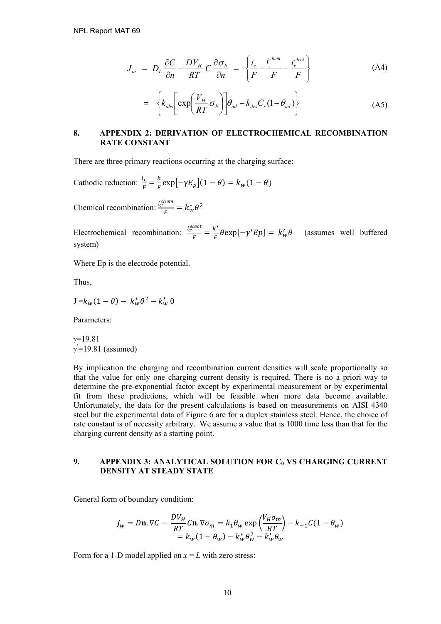$$
J_{in} = D_L \frac{\partial C}{\partial n} - \frac{D V_H}{R T} C \frac{\partial \sigma_h}{\partial n} = \left\{ \frac{i_c}{F} - \frac{i_c^{chem}}{F} - \frac{i_c^{elect}}{F} \right\}
$$
(A4)

$$
= \left\{ k_{abs} \left[ \exp \left( \frac{V_H}{RT} \sigma_h \right) \right] \theta_{ad} - k_{des} C_s (1 - \theta_{ad}) \right\} \tag{A5}
$$

## **8. APPENDIX 2: DERIVATION OF ELECTROCHEMICAL RECOMBINATION RATE CONSTANT**

There are three primary reactions occurring at the charging surface:

Cathodic reduction:  $\frac{i_c}{F} = \frac{k}{F} \exp[-\gamma E_p](1 - \theta) = k_w(1 - \theta)$ 

Chemical recombination:  $\frac{i_r^{chem}}{E}$  $\frac{\mu_{\text{em}}}{F} = k_w^* \theta^2$ 

Electrochemical recombination:  $\frac{i_r^{elect}}{F} = \frac{k'}{F} \theta \exp[-\gamma' E p] = k'_w \theta$  (assumes well buffered system)

Where Ep is the electrode potential.

Thus,

$$
J = k_w (1 - \theta) - k_w^* \theta^2 - k_w' \theta
$$

Parameters:

 $\gamma = 19.81$  $\gamma$ <sup>'</sup>=19.81 (assumed)

By implication the charging and recombination current densities will scale proportionally so that the value for only one charging current density is required. There is no a priori way to determine the pre-exponential factor except by experimental measurement or by experimental fit from these predictions, which will be feasible when more data become available. Unfortunately, the data for the present calculations is based on measurements on AISI 4340 steel but the experimental data of Figure 6 are for a duplex stainless steel. Hence, the choice of rate constant is of necessity arbitrary. We assume a value that is 1000 time less than that for the charging current density as a starting point.

#### **9. APPENDIX 3: ANALYTICAL SOLUTION FOR C<sub>0</sub> VS CHARGING CURRENT DENSITY AT STEADY STATE**

General form of boundary condition:

$$
J_w = D\mathbf{n}.\nabla C - \frac{DV_H}{RT}C\mathbf{n}.\nabla \sigma_m = k_1 \theta_w \exp\left(\frac{V_H \sigma_m}{RT}\right) - k_{-1}C(1 - \theta_w)
$$
  
=  $k_w(1 - \theta_w) - k_w^* \theta_w^2 - k_w' \theta_w$ 

Form for a 1-D model applied on  $x = L$  with zero stress: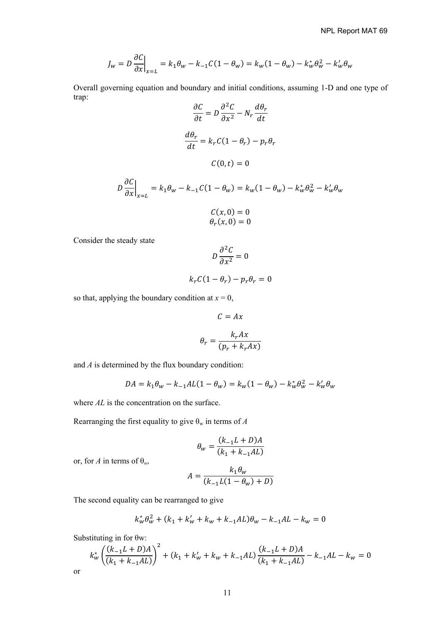$$
J_w = D \frac{\partial C}{\partial x}\Big|_{x=L} = k_1 \theta_w - k_{-1} C (1 - \theta_w) = k_w (1 - \theta_w) - k_w^* \theta_w^2 - k_w' \theta_w
$$

Overall governing equation and boundary and initial conditions, assuming 1-D and one type of trap:  $\overline{a}$  $a^2c$ ߠ݀

$$
\frac{\partial C}{\partial t} = D \frac{\partial^2 C}{\partial x^2} - N_r \frac{d\theta_r}{dt}
$$

$$
\frac{d\theta_r}{dt} = k_r C (1 - \theta_r) - p_r \theta_r
$$

$$
C(0, t) = 0
$$

$$
D\frac{\partial C}{\partial x}\Big|_{x=L} = k_1 \theta_w - k_{-1} C (1 - \theta_w) = k_w (1 - \theta_w) - k_w^* \theta_w^2 - k_w' \theta_w
$$

$$
C(x, 0) = 0
$$
  

$$
\theta_r(x, 0) = 0
$$

Consider the steady state

$$
D\frac{\partial^2 C}{\partial x^2} = 0
$$

$$
k_r C(1-\theta_r) - p_r \theta_r = 0
$$

so that, applying the boundary condition at  $x = 0$ ,

$$
C = Ax
$$

$$
\theta_r = \frac{k_r A x}{(p_r + k_r A x)}
$$

and *A* is determined by the flux boundary condition:

$$
DA = k_1 \theta_w - k_{-1}AL(1 - \theta_w) = k_w(1 - \theta_w) - k_w^* \theta_w^2 - k_w' \theta_w
$$

where *AL* is the concentration on the surface.

Rearranging the first equality to give  $\theta_w$  in terms of *A* 

$$
\theta_w = \frac{(k_{-1}L + D)A}{(k_1 + k_{-1}AL)}
$$

or, for *A* in terms of  $\theta_w$ ,

$$
A = \frac{k_1 \theta_w}{(k_{-1}L(1 - \theta_w) + D)}
$$

The second equality can be rearranged to give

$$
k_w^* \theta_w^2 + (k_1 + k_w' + k_w + k_{-1}AL)\theta_w - k_{-1}AL - k_w = 0
$$

Substituting in for θw:

or

$$
k_w^* \left( \frac{(k_{-1}L + D)A}{(k_1 + k_{-1}AL)} \right)^2 + (k_1 + k_w' + k_w + k_{-1}AL) \frac{(k_{-1}L + D)A}{(k_1 + k_{-1}AL)} - k_{-1}AL - k_w = 0
$$

11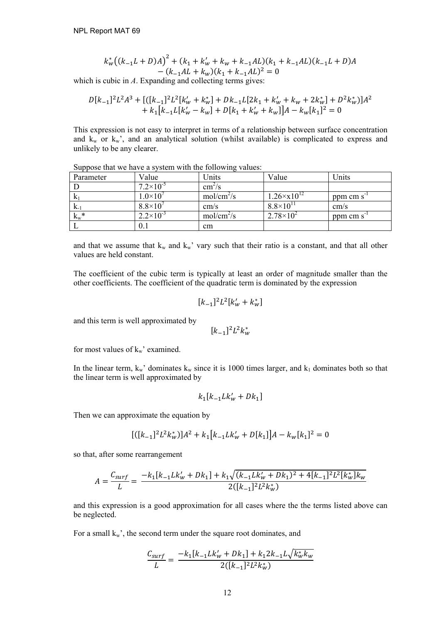$$
k_w^*((k_{-1}L+D)A)^2 + (k_1 + k_w' + k_w + k_{-1}AL)(k_1 + k_{-1}AL)(k_{-1}L+D)A - (k_{-1}AL + k_w)(k_1 + k_{-1}AL)^2 = 0
$$

which is cubic in *A*. Expanding and collecting terms gives:

$$
\begin{array}{l} D[k_{-1}]^{2}L^{2}A^{3} + [([k_{-1}]^{2}L^{2}[k'_{w}+k''_{w}]+Dk_{-1}L[2k_{1}+k'_{w}+k_{w}+2k''_{w}]+D^{2}k''_{w})]A^{2}\\ \hspace{3.5cm} + k_{1}[k_{-1}L[k'_{w}-k_{w}]+D[k_{1}+k'_{w}+k_{w}]]A-k_{w}[k_{1}]^{2}=0 \end{array}
$$

This expression is not easy to interpret in terms of a relationship between surface concentration and  $k_w$  or  $k_w$ , and an analytical solution (whilst available) is complicated to express and unlikely to be any clearer.

| Parameter | Value                | Units              | Value                   | Units                 |
|-----------|----------------------|--------------------|-------------------------|-----------------------|
|           | $7.2\times10^{-5}$   | cm <sup>2</sup> /s |                         |                       |
| K.        | $1.0\times10^{7}$    | $mol/cm^2/s$       | $1.26 \times x 10^{12}$ | ppm cm s <sup>-</sup> |
| $K_{-1}$  | $8.8\times10^7$      | cm/s               | $8.8\times10^{11}$      | cm/s                  |
| $k_w^*$   | $2.2 \times 10^{-3}$ | $mol/cm^2/s$       | $2.78 \times 10^{2}$    | ppm cm s <sup>-</sup> |
|           | 0.1                  | cm                 |                         |                       |

Suppose that we have a system with the following values:

and that we assume that  $k_w$  and  $k_w$ ' vary such that their ratio is a constant, and that all other values are held constant.

The coefficient of the cubic term is typically at least an order of magnitude smaller than the other coefficients. The coefficient of the quadratic term is dominated by the expression

$$
[k_{-1}]^2 L^2 [k'_w + k^*_w]
$$

and this term is well approximated by

$$
[k_{-1}]^2 L^2 k_w^*
$$

for most values of  $k_w$ ' examined.

In the linear term,  $k_w$ ' dominates  $k_w$  since it is 1000 times larger, and  $k_1$  dominates both so that the linear term is well approximated by

$$
k_1 [k_{-1} L k'_w + D k_1] \\
$$

Then we can approximate the equation by

$$
[([k_{-1}]^{2}L^{2}k_{w}^{*})]A^{2} + k_{1}[k_{-1}Lk_{w}^{\prime} + D[k_{1}]]A - k_{w}[k_{1}]^{2} = 0
$$

so that, after some rearrangement

$$
A = \frac{C_{surf}}{L} = \frac{-k_1[k_{-1}Lk'_w + Dk_1] + k_1\sqrt{(k_{-1}Lk'_w + Dk_1)^2 + 4[k_{-1}]^2L^2[k_w^*]k_w}}{2([k_{-1}]^2L^2k_w^*)}
$$

and this expression is a good approximation for all cases where the the terms listed above can be neglected.

For a small  $k_w$ , the second term under the square root dominates, and

$$
\frac{C_{surf}}{L} = \frac{-k_1[k_{-1}Lk'_w + Dk_1] + k_1 2k_{-1}L\sqrt{k_w^*k_w}}{2([k_{-1}]^2L^2k_w^*)}
$$